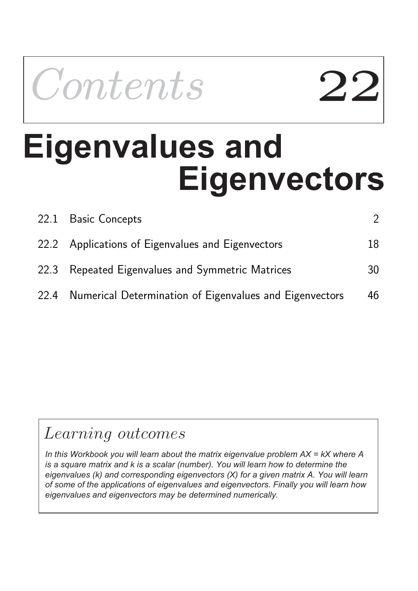

# **Eigenvectors Eigenvalues and**

| 22.1 Basic Concepts                                          |    |
|--------------------------------------------------------------|----|
| 22.2 Applications of Eigenvalues and Eigenvectors            | 18 |
| 22.3 Repeated Eigenvalues and Symmetric Matrices             | 30 |
| 22.4 Numerical Determination of Eigenvalues and Eigenvectors | 46 |

## Learning outcomes

*In this Workbook you will learn about the matrix eigenvalue problem AX = kX where A is a square matrix and k is a scalar (number). You will learn how to determine the eigenvalues (k) and corresponding eigenvectors (X) for a given matrix A. You will learn of some of the applications of eigenvalues and eigenvectors. Finally you will learn how eigenvalues and eigenvectors may be determined numerically.*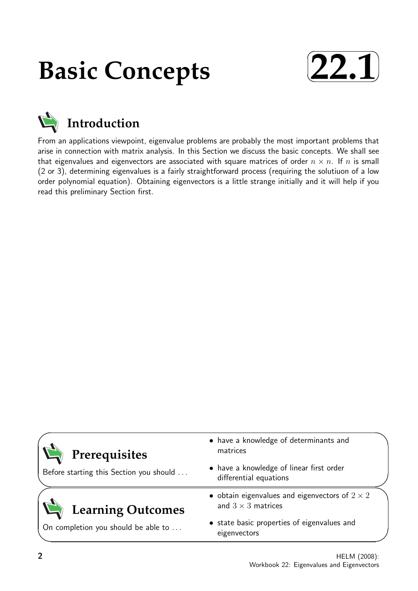## **Basic Concepts**





From an applications viewpoint, eigenvalue problems are probably the most important problems that arise in connection with matrix analysis. In this Section we discuss the basic concepts. We shall see that eigenvalues and eigenvectors are associated with square matrices of order  $n \times n$ . If n is small (2 or 3), determining eigenvalues is a fairly straightforward process (requiring the solutiuon of a low order polynomial equation). Obtaining eigenvectors is a little strange initially and it will help if you read this preliminary Section first.

| Prerequisites                           | • have a knowledge of determinants and<br>matrices                                 |
|-----------------------------------------|------------------------------------------------------------------------------------|
| Before starting this Section you should | • have a knowledge of linear first order<br>differential equations                 |
| <b>Learning Outcomes</b>                | • obtain eigenvalues and eigenvectors of $2 \times 2$<br>and $3 \times 3$ matrices |
| On completion you should be able to     | • state basic properties of eigenvalues and<br>eigenvectors                        |

✧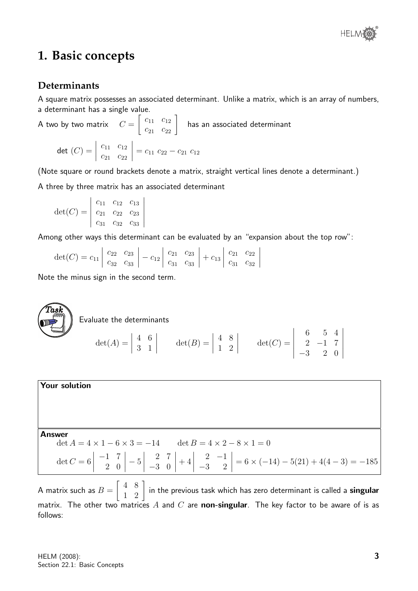

### **1. Basic concepts**

#### **Determinants**

A square matrix possesses an associated determinant. Unlike a matrix, which is an array of numbers, a determinant has a single value.

A two by two matrix  $C =$  $\left[\begin{array}{cc} c_{11} & c_{12} \\ c_{21} & c_{22} \end{array}\right]$ has an associated determinant  $\det\ (C) =$   $c_{11}$   $c_{12}$  $c_{21}$   $c_{22}$  $= c_{11} \, c_{22} - c_{21} \, c_{12}$ 

(Note square or round brackets denote a matrix, straight vertical lines denote a determinant.)

A three by three matrix has an associated determinant

$$
\det(C) = \begin{vmatrix} c_{11} & c_{12} & c_{13} \\ c_{21} & c_{22} & c_{23} \\ c_{31} & c_{32} & c_{33} \end{vmatrix}
$$

Among other ways this determinant can be evaluated by an "expansion about the top row":

| det(C) = $c_{11}$ $\begin{vmatrix} c_{22} & c_{23} \ c_{32} & c_{33} \end{vmatrix}$ - $c_{12}$ $\begin{vmatrix} c_{21} & c_{23} \ c_{31} & c_{33} \end{vmatrix}$ + $c_{13}$ $\begin{vmatrix} c_{21} & c_{22} \ c_{31} & c_{32} \end{vmatrix}$ |  |  |  |  |  |  |
|-----------------------------------------------------------------------------------------------------------------------------------------------------------------------------------------------------------------------------------------------|--|--|--|--|--|--|
|                                                                                                                                                                                                                                               |  |  |  |  |  |  |

Note the minus sign in the second term.

**Task**  
\n
$$
\text{det}(A) = \begin{vmatrix} 4 & 6 \\ 3 & 1 \end{vmatrix} \qquad \text{det}(B) = \begin{vmatrix} 4 & 8 \\ 1 & 2 \end{vmatrix} \qquad \text{det}(C) = \begin{vmatrix} 6 & 5 & 4 \\ 2 & -1 & 7 \\ -3 & 2 & 0 \end{vmatrix}
$$

**Your solution**  
\n**Answer**  
\n
$$
\det A = 4 \times 1 - 6 \times 3 = -14
$$
\n
$$
\det B = 4 \times 2 - 8 \times 1 = 0
$$
\n
$$
\det C = 6 \begin{vmatrix} -1 & 7 \\ 2 & 0 \end{vmatrix} - 5 \begin{vmatrix} 2 & 7 \\ -3 & 0 \end{vmatrix} + 4 \begin{vmatrix} 2 & -1 \\ -3 & 2 \end{vmatrix} = 6 \times (-14) - 5(21) + 4(4 - 3) = -185
$$

A matrix such as  $B =$  $\left[\begin{array}{cc} 4 & 8 \ 1 & 2 \end{array}\right]$  in the previous task which has zero determinant is called a **singular** matrix. The other two matrices A and C are non-singular. The key factor to be aware of is as follows: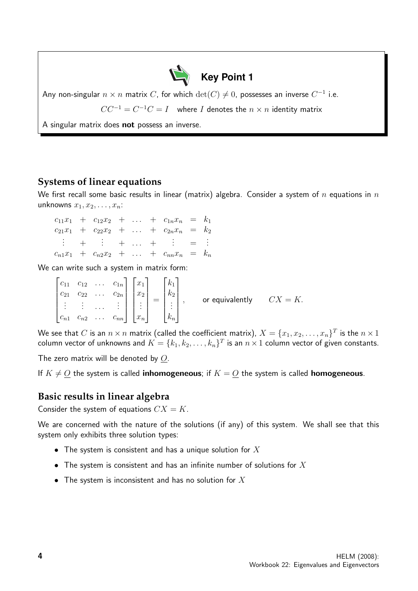

Any non-singular  $n \times n$  matrix  $C$ , for which  $\det(C) \neq 0$ , possesses an inverse  $C^{-1}$  i.e.

 $CC^{-1} = C^{-1}C = I$  where I denotes the  $n \times n$  identity matrix

A singular matrix does not possess an inverse.

#### **Systems of linear equations**

We first recall some basic results in linear (matrix) algebra. Consider a system of n equations in  $n$ unknowns  $x_1, x_2, \ldots, x_n$ :

 $c_{11}x_1 + c_{12}x_2 + \ldots + c_{1n}x_n = k_1$  $c_{21}x_1 + c_{22}x_2 + \ldots + c_{2n}x_n = k_2$  $\frac{1}{2} + \frac{1}{2} + \dots + \frac{1}{2} = 1$  $c_{n1}x_1 + c_{n2}x_2 + \ldots + c_{nn}x_n = k_n$ 

We can write such a system in matrix form:

 $\sqrt{ }$   $c_{11}$   $c_{12}$  ...  $c_{1n}$  $c_{21}$   $c_{22}$  ...  $c_{2n}$ . . . . . . . . . . . .  $c_{n1}$   $c_{n2}$  ...  $c_{nn}$ 1  $\begin{array}{c} \begin{array}{c} \begin{array}{c} \end{array} \\ \begin{array}{c} \end{array} \end{array} \end{array}$  $\sqrt{ }$   $\overline{x}_1$  $\overline{x_2}$ . . .  $\bar{x}_n$ 1  $\begin{array}{c} \begin{array}{c} \begin{array}{c} \end{array} \\ \begin{array}{c} \end{array} \end{array} \end{array}$ =  $\sqrt{ }$  $\begin{array}{c} \begin{array}{c} \begin{array}{c} \end{array} \\ \begin{array}{c} \end{array} \end{array} \end{array}$  $k_1$  $k<sub>2</sub>$ . . .  $k_n$ 1  $\begin{array}{c} \begin{array}{c} \begin{array}{c} \end{array} \\ \begin{array}{c} \end{array} \end{array} \end{array}$ , or equivalently  $CX = K$ .

We see that  $C$  is an  $n\times n$  matrix (called the coefficient matrix),  $X=\{x_1,x_2,\ldots,x_n\}^T$  is the  $n\times 1$ column vector of unknowns and  $K=\{k_1,k_2,\ldots,k_n\}^T$  is an  $n\times 1$  column vector of given constants.

The zero matrix will be denoted by O.

If  $K \neq O$  the system is called **inhomogeneous**; if  $K = O$  the system is called **homogeneous**.

#### **Basic results in linear algebra**

Consider the system of equations  $CX = K$ .

We are concerned with the nature of the solutions (if any) of this system. We shall see that this system only exhibits three solution types:

- The system is consistent and has a unique solution for  $X$
- The system is consistent and has an infinite number of solutions for  $X$
- The system is inconsistent and has no solution for  $X$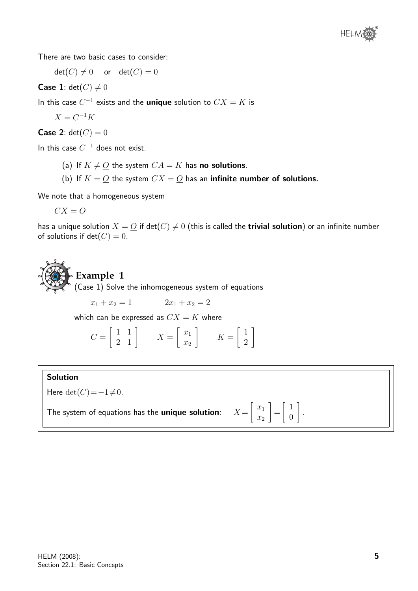

There are two basic cases to consider:

 $\det(C) \neq 0$  or  $\det(C) = 0$ 

**Case 1**:  $det(C) \neq 0$ 

In this case  $C^{-1}$  exists and the **unique** solution to  $CX = K$  is

$$
X = C^{-1}K
$$

**Case 2:**  $det(C) = 0$ 

In this case  $C^{-1}$  does not exist.

- (a) If  $K \neq O$  the system  $CA = K$  has no solutions.
- (b) If  $K = Q$  the system  $CX = Q$  has an **infinite number of solutions.**

We note that a homogeneous system

$$
CX = \underline{O}
$$

has a unique solution  $X = O$  if  $det(C) \neq 0$  (this is called the **trivial solution**) or an infinite number of solutions if  $det(C) = 0$ .

## **Example 1**

 $(Case 1)$  Solve the inhomogeneous system of equations

 $x_1 + x_2 = 1$   $2x_1 + x_2 = 2$ 

which can be expressed as  $CX = K$  where

$$
C = \begin{bmatrix} 1 & 1 \\ 2 & 1 \end{bmatrix} \qquad X = \begin{bmatrix} x_1 \\ x_2 \end{bmatrix} \qquad K = \begin{bmatrix} 1 \\ 2 \end{bmatrix}
$$

#### Solution

Here det $(C)=-1\neq0$ .

The system of equations has the unique solution:

 $\lceil x_1 \rceil$  $\overline{x_2}$ 1 =  $\lceil 1 \rceil$ 0 1

.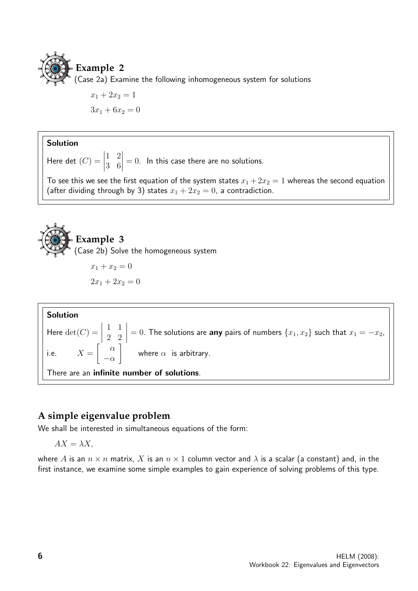

 $x_1 + 2x_2 = 1$  $3x_1 + 6x_2 = 0$ 

#### Solution

Here det  $(C)$  =  $\begin{array}{c} \begin{array}{c} \begin{array}{c} \end{array} \\ \begin{array}{c} \end{array} \end{array} \end{array}$ 1 2 3 6  $= 0$ . In this case there are no solutions.

To see this we see the first equation of the system states  $x_1 + 2x_2 = 1$  whereas the second equation (after dividing through by 3) states  $x_1 + 2x_2 = 0$ , a contradiction.



$$
2x_1 + 2x_2 = 0
$$



#### **A simple eigenvalue problem**

We shall be interested in simultaneous equations of the form:

$$
AX = \lambda X,
$$

where A is an  $n \times n$  matrix, X is an  $n \times 1$  column vector and  $\lambda$  is a scalar (a constant) and, in the first instance, we examine some simple examples to gain experience of solving problems of this type.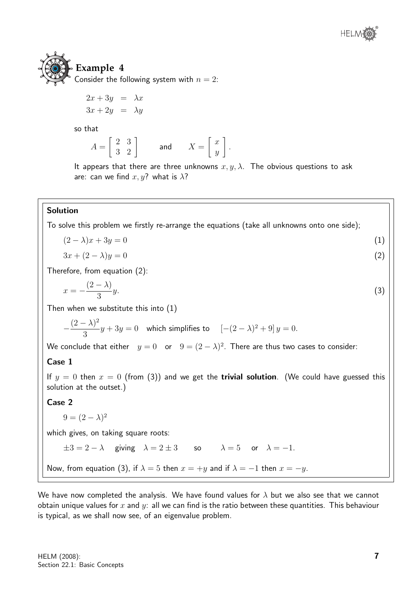

## **Example 4** Consider the following system with  $n = 2$ :

$$
2x + 3y = \lambda x
$$
  

$$
3x + 2y = \lambda y
$$

so that

$$
A = \left[ \begin{array}{cc} 2 & 3 \\ 3 & 2 \end{array} \right] \qquad \text{and} \qquad X = \left[ \begin{array}{c} x \\ y \end{array} \right].
$$

It appears that there are three unknowns  $x, y, \lambda$ . The obvious questions to ask are: can we find  $x, y$ ? what is  $\lambda$ ?

#### Solution

To solve this problem we firstly re-arrange the equations (take all unknowns onto one side);

$$
(2 - \lambda)x + 3y = 0 \tag{1}
$$

$$
3x + (2 - \lambda)y = 0 \tag{2}
$$

Therefore, from equation (2):

$$
x = -\frac{(2-\lambda)}{3}y.\tag{3}
$$

Then when we substitute this into (1)

$$
-\frac{(2-\lambda)^2}{3}y + 3y = 0
$$
 which simplifies to  $[-(2-\lambda)^2 + 9]y = 0.$ 

We conclude that either  $y=0$  or  $9=(2-\lambda)^2$ . There are thus two cases to consider:

#### Case 1

If  $y = 0$  then  $x = 0$  (from (3)) and we get the **trivial solution**. (We could have guessed this solution at the outset.)

#### Case 2

 $9 = (2 - \lambda)^2$ 

which gives, on taking square roots:

 $\pm 3 = 2 - \lambda$  giving  $\lambda = 2 \pm 3$  so  $\lambda = 5$  or  $\lambda = -1$ .

Now, from equation (3), if  $\lambda = 5$  then  $x = +y$  and if  $\lambda = -1$  then  $x = -y$ .

We have now completed the analysis. We have found values for  $\lambda$  but we also see that we cannot obtain unique values for x and y: all we can find is the ratio between these quantities. This behaviour is typical, as we shall now see, of an eigenvalue problem.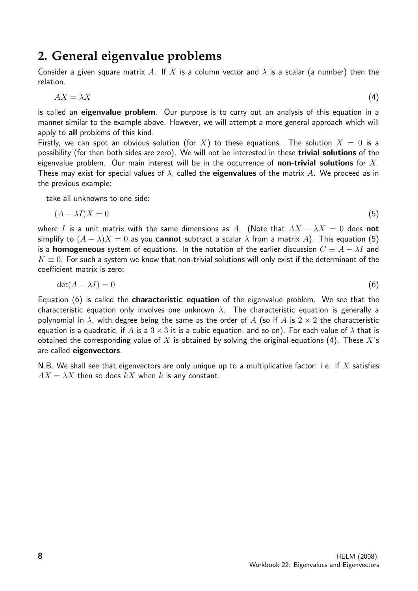## **2. General eigenvalue problems**

Consider a given square matrix A. If X is a column vector and  $\lambda$  is a scalar (a number) then the relation.

$$
AX = \lambda X \tag{4}
$$

is called an eigenvalue problem. Our purpose is to carry out an analysis of this equation in a manner similar to the example above. However, we will attempt a more general approach which will apply to all problems of this kind.

Firstly, we can spot an obvious solution (for X) to these equations. The solution  $X = 0$  is a possibility (for then both sides are zero). We will not be interested in these trivial solutions of the eigenvalue problem. Our main interest will be in the occurrence of **non-trivial solutions** for  $X$ . These may exist for special values of  $\lambda$ , called the **eigenvalues** of the matrix A. We proceed as in the previous example:

take all unknowns to one side:

$$
(A - \lambda I)X = 0 \tag{5}
$$

where I is a unit matrix with the same dimensions as A. (Note that  $AX - \lambda X = 0$  does not simplify to  $(A - \lambda)X = 0$  as you **cannot** subtract a scalar  $\lambda$  from a matrix A). This equation (5) is a **homogeneous** system of equations. In the notation of the earlier discussion  $C \equiv A - \lambda I$  and  $K \equiv 0$ . For such a system we know that non-trivial solutions will only exist if the determinant of the coefficient matrix is zero:

$$
\det(A - \lambda I) = 0 \tag{6}
$$

Equation (6) is called the characteristic equation of the eigenvalue problem. We see that the characteristic equation only involves one unknown  $\lambda$ . The characteristic equation is generally a polynomial in  $\lambda$ , with degree being the same as the order of A (so if A is  $2 \times 2$  the characteristic equation is a quadratic, if A is a  $3 \times 3$  it is a cubic equation, and so on). For each value of  $\lambda$  that is obtained the corresponding value of X is obtained by solving the original equations (4). These  $X$ 's are called eigenvectors.

N.B. We shall see that eigenvectors are only unique up to a multiplicative factor: i.e. if X satisfies  $AX = \lambda X$  then so does  $kX$  when k is any constant.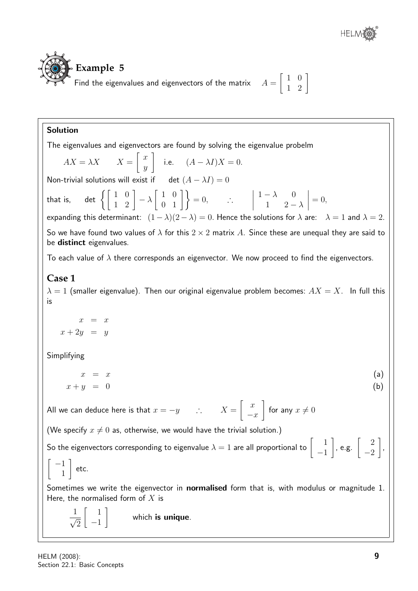

#### Solution

The eigenvalues and eigenvectors are found by solving the eigenvalue probelm

$$
AX = \lambda X \qquad X = \begin{bmatrix} x \\ y \end{bmatrix}
$$
 i.e.  $(A - \lambda I)X = 0$ .

Non-trivial solutions will exist if det  $(A - \lambda I) = 0$ 

that is, det  $\left\{ \left[ \begin{array}{cc} 1 & 0 \ 1 & 2 \end{array} \right] - \lambda \right\}$  $\left[\begin{array}{cc} 1 & 0 \\ 0 & 1 \end{array}\right]$  = 0,  $\therefore$  $1 - \lambda = 0$ 1  $2 - \lambda$  $\begin{array}{c} \begin{array}{c} \begin{array}{c} \end{array} \\ \begin{array}{c} \end{array} \end{array} \end{array}$  $= 0,$ expanding this determinant:  $(1 - \lambda)(2 - \lambda) = 0$ . Hence the solutions for  $\lambda$  are:  $\lambda = 1$  and  $\lambda = 2$ . So we have found two values of  $\lambda$  for this  $2 \times 2$  matrix A. Since these are unequal they are said to be distinct eigenvalues.

To each value of  $\lambda$  there corresponds an eigenvector. We now proceed to find the eigenvectors.

#### **Case 1**

 $\lambda = 1$  (smaller eigenvalue). Then our original eigenvalue problem becomes:  $AX = X$ . In full this is

 $x = x$  $x + 2y = y$ 

Simplifying

$$
\begin{array}{rcl}\nx & = & x \\
x + y & = & 0\n\end{array} \tag{a}
$$

All we can deduce here is that  $x=-y$  ∴  $X=\begin{bmatrix} & x\end{bmatrix}$  $-x$ 1 for any  $x \neq 0$ 

(We specify  $x \neq 0$  as, otherwise, we would have the trivial solution.)

So the eigenvectors corresponding to eigenvalue  $\lambda=1$  are all proportional to  $\left[\begin{array}{cc}1\cr -1\end{array}\right]$ −1  $\Big]$ , e.g.  $\Big[$   $\Big]$  $-2$ 1 ,  $\sqrt{ }$ −1 1 1 etc.

Sometimes we write the eigenvector in **normalised** form that is, with modulus or magnitude 1. Here, the normalised form of  $X$  is

$$
\frac{1}{\sqrt{2}} \begin{bmatrix} 1 \\ -1 \end{bmatrix}
$$
 which is unique.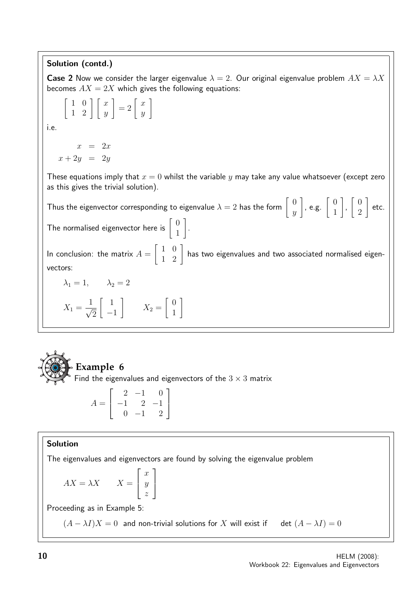#### Solution (contd.)

**Case 2** Now we consider the larger eigenvalue  $\lambda = 2$ . Our original eigenvalue problem  $AX = \lambda X$ becomes  $AX = 2X$  which gives the following equations:

$$
\left[\begin{array}{cc} 1 & 0 \\ 1 & 2 \end{array}\right] \left[\begin{array}{c} x \\ y \end{array}\right] = 2 \left[\begin{array}{c} x \\ y \end{array}\right]
$$

i.e.

$$
\begin{array}{rcl}\nx & = & 2x \\
x + 2y & = & 2y\n\end{array}
$$

These equations imply that  $x = 0$  whilst the variable y may take any value whatsoever (except zero as this gives the trivial solution).

Thus the eigenvector corresponding to eigenvalue  $\lambda=2$  has the form  $\left[\begin{array}{c} 0 \ 0 \end{array}\right]$  $\hat{y}$ , e.g.  $\begin{bmatrix} 0 \\ 1 \end{bmatrix}$ 1 1 ,  $\begin{bmatrix} 0 \end{bmatrix}$ 2 1 etc. The normalised eigenvector here is  $\begin{bmatrix} 0 \\ 1 \end{bmatrix}$ 1 1 .

In conclusion: the matrix  $A =$  $\begin{bmatrix} 1 & 0 \\ 1 & 2 \end{bmatrix}$  has two eigenvalues and two associated normalised eigenvectors:

$$
\lambda_1 = 1, \qquad \lambda_2 = 2
$$

$$
X_1 = \frac{1}{\sqrt{2}} \begin{bmatrix} 1 \\ -1 \end{bmatrix} \qquad X_2 = \begin{bmatrix} 0 \\ 1 \end{bmatrix}
$$



## **Example 6**

Find the eigenvalues and eigenvectors of the  $3 \times 3$  matrix

$$
A = \begin{bmatrix} 2 & -1 & 0 \\ -1 & 2 & -1 \\ 0 & -1 & 2 \end{bmatrix}
$$

#### Solution

The eigenvalues and eigenvectors are found by solving the eigenvalue problem

1

 $\frac{1}{2}$ 

 $AX = \lambda X$   $X =$  $\sqrt{ }$  $\overline{\phantom{a}}$  $\overline{x}$  $\hat{y}$ z

Proceeding as in Example 5:

 $(A - \lambda I)X = 0$  and non-trivial solutions for X will exist if det  $(A - \lambda I) = 0$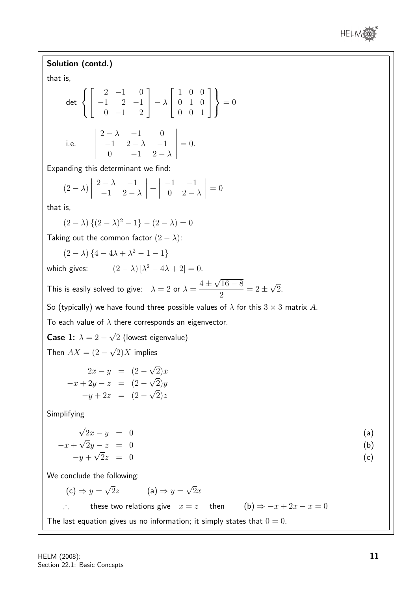

Solution (contd.) that is, det  $\sqrt{ }$  $\int$  $\mathcal{L}$  $\sqrt{ }$  $\overline{\phantom{a}}$  $2 -1 0$  $-1$  2  $-1$  $0 -1 2$ 1  $\vert -\lambda$  $\sqrt{ }$  $\overline{\phantom{a}}$ 1 0 0 0 1 0 0 0 1 1  $\overline{1}$  $\mathcal{L}$  $\mathcal{L}$  $\int$  $= 0$ i.e.  $2 - \lambda$  -1 0  $-1$  2 –  $\lambda$  –1 0  $-1$  2  $-\lambda$   $= 0.$ Expanding this determinant we find:  $(2 - \lambda)$   $2 - \lambda$  −1  $-1$  2 –  $\lambda$   $+$   $-1$   $-1$  $0 \quad 2 - \lambda$   $= 0$ that is,  $(2 - \lambda) \{(2 - \lambda)^2 - 1\} - (2 - \lambda) = 0$ Taking out the common factor  $(2 - \lambda)$ :  $(2 - \lambda)$  {4 - 4 $\lambda + \lambda^2 - 1 - 1$ } which gives:  $(2 - \lambda) [\lambda^2 - 4\lambda + 2] = 0.$ This is easily solved to give:  $\lambda = 2$  or  $\lambda = 1$  $4 \pm$ √  $16 - 8$ 2  $= 2 \pm$ √ 2. So (typically) we have found three possible values of  $\lambda$  for this  $3 \times 3$  matrix A. To each value of  $\lambda$  there corresponds an eigenvector. Case 1:  $\lambda = 2 -$ √ 2 (lowest eigenvalue) Then  $AX = (2 -$ √  $(2)X$  implies  $2x - y = (2 -$ √  $2)x$  $-x + 2y - z = (2 \mathbf{v}_{\alpha}$  $2)y$  $-y+2z = (2 \mathbf{v}_{\alpha}$  $2)z$ Simplifying √  $2x - y = 0$  (a)  $-x+$  $\mathbf{v}_{\alpha}$  $2y - z = 0$  (b)  $-y+$ √  $2z = 0$  (c) We conclude the following:  $(c) \Rightarrow y =$ √ 2z  $(a) \Rightarrow y =$ √  $2x$ these two relations give  $x = z$  then  $(b) \Rightarrow -x + 2x - x = 0$ The last equation gives us no information; it simply states that  $0 = 0$ .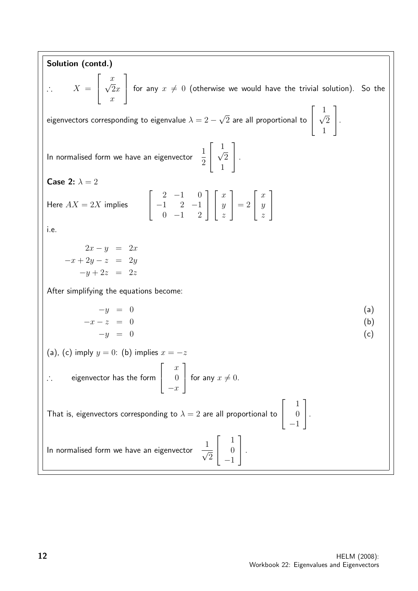Solution (contd.)  $\therefore$  X =  $\sqrt{ }$  $\overline{\phantom{a}}$  $\frac{x}{5}$  $2x$  $\overline{x}$ 1 for any  $x \neq 0$  (otherwise we would have the trivial solution). So the eigenvectors corresponding to eigenvalue  $\lambda = 2 - 1$ √  $\,2$  are all proportional to  $\sqrt{ }$  $\overline{\phantom{a}}$ 1 √ 2 1 1  $\vert \cdot$ In normalised form we have an eigenvector  $\frac{1}{2}$ 2  $\sqrt{ }$  $\overline{\phantom{a}}$ 1 √  $\overline{2}$ 1 1  $\vert \cdot$ Case 2:  $\lambda = 2$ Here  $AX = 2X$  implies  $\sqrt{ }$  $\overline{\phantom{a}}$  $2 -1 0$  $-1$  2  $-1$  $0 -1 2$ 1  $\overline{1}$  $\sqrt{ }$  $\overline{\phantom{a}}$  $\boldsymbol{x}$  $\hat{y}$ z 1  $\Big| = 2$  $\sqrt{ }$  $\overline{\phantom{a}}$  $\overline{x}$  $\hat{y}$ z 1  $\overline{1}$ i.e.  $2x - y = 2x$  $-x + 2y - z = 2y$  $-y+2z = 2z$ After simplifying the equations become:  $-y = 0$  (a)  $-x-z = 0$  (b)  $-y = 0$  (c) (a), (c) imply  $y = 0$ : (b) implies  $x = -z$ ∴ eigenvector has the form  $\sqrt{ }$  $\overline{\phantom{a}}$  $\overline{x}$ 0  $-x$ 1 for any  $x \neq 0$ . That is, eigenvectors corresponding to  $\lambda = 2$  are all proportional to  $\sqrt{ }$  $\overline{\phantom{a}}$ 1  $\theta$ −1 1  $\vert \cdot$ In normalised form we have an eigenvector √  $\overline{2}$  $\sqrt{ }$  $\overline{\phantom{a}}$ 1  $\theta$ −1 1  $\vert \cdot$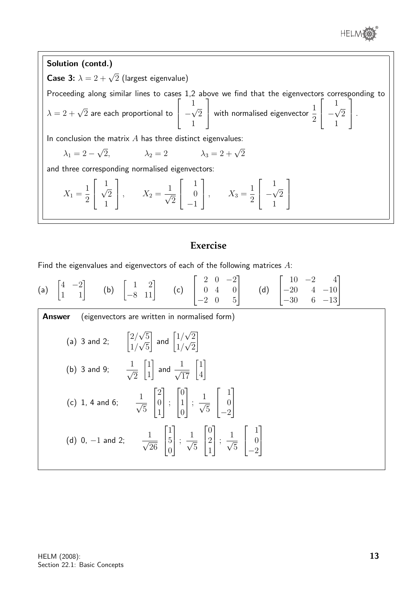



#### **Exercise**

Find the eigenvalues and eigenvectors of each of the following matrices  $A$ :

(a) 
$$
\begin{bmatrix} 4 & -2 \\ 1 & 1 \end{bmatrix}
$$
 (b)  $\begin{bmatrix} 1 & 2 \\ -8 & 11 \end{bmatrix}$  (c)  $\begin{bmatrix} 2 & 0 & -2 \\ 0 & 4 & 0 \\ -2 & 0 & 5 \end{bmatrix}$  (d)  $\begin{bmatrix} 10 & -2 & 4 \\ -20 & 4 & -10 \\ -30 & 6 & -13 \end{bmatrix}$   
\n**Answer** (eigenvectors are written in normalised form)  
\n(a) 3 and 2;  $\begin{bmatrix} 2/\sqrt{5} \\ 1/\sqrt{5} \end{bmatrix}$  and  $\begin{bmatrix} 1/\sqrt{2} \\ 1/\sqrt{2} \end{bmatrix}$   
\n(b) 3 and 9;  $\frac{1}{\sqrt{2}} \begin{bmatrix} 1 \\ 1 \end{bmatrix}$  and  $\frac{1}{\sqrt{17}} \begin{bmatrix} 1 \\ 4 \end{bmatrix}$ 

4

(c) 1, 4 and 6; 
$$
\frac{1}{\sqrt{5}} \begin{bmatrix} 2 \\ 0 \\ 1 \end{bmatrix}
$$
;  $\begin{bmatrix} 0 \\ 1 \\ 0 \end{bmatrix}$ ;  $\frac{1}{\sqrt{5}} \begin{bmatrix} 1 \\ 0 \\ -2 \end{bmatrix}$   
(d) 0, -1 and 2;  $\frac{1}{\sqrt{26}} \begin{bmatrix} 1 \\ 5 \\ 0 \end{bmatrix}$ ;  $\frac{1}{\sqrt{5}} \begin{bmatrix} 0 \\ 2 \\ 1 \end{bmatrix}$ ;  $\frac{1}{\sqrt{5}} \begin{bmatrix} 1 \\ 0 \\ -2 \end{bmatrix}$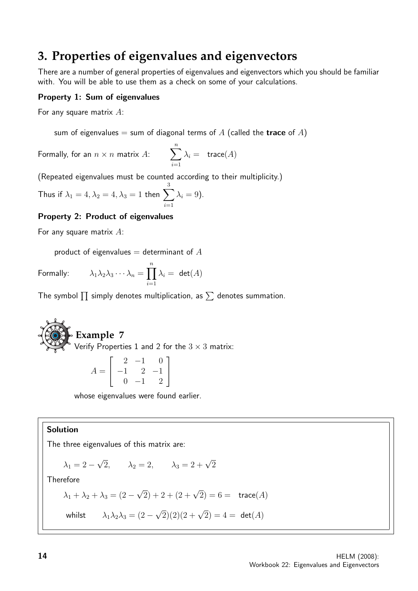## **3. Properties of eigenvalues and eigenvectors**

There are a number of general properties of eigenvalues and eigenvectors which you should be familiar with. You will be able to use them as a check on some of your calculations.

#### Property 1: Sum of eigenvalues

For any square matrix  $A$ :

sum of eigenvalues = sum of diagonal terms of A (called the **trace** of A)

Formally, for an  $n \times n$  matrix  $A:$   $\sum_{n=1}^n$  $i=1$  $\lambda_i = \operatorname{trace}(A)$ 

(Repeated eigenvalues must be counted according to their multiplicity.)

Thus if  $\lambda_1=4, \lambda_2=4, \lambda_3=1$  then  $\sum$ 3  $i=1$  $\lambda_i = 9$ ).

#### Property 2: Product of eigenvalues

For any square matrix  $A$ :

product of eigenvalues  $=$  determinant of  $A$ 

Formally: 
$$
\lambda_1 \lambda_2 \lambda_3 \cdots \lambda_n = \prod_{i=1}^n \lambda_i = \det(A)
$$

The symbol  $\prod$  simply denotes multiplication, as  $\sum$  denotes summation.

**Example 7**  
Verify Properties 1 and 2 for the 3 × 3 matrix:  

$$
A = \begin{bmatrix} 2 & -1 & 0 \\ -1 & 2 & -1 \\ 0 & -1 & 2 \end{bmatrix}
$$

whose eigenvalues were found earlier.

#### Solution

The three eigenvalues of this matrix are:

$$
\lambda_1 = 2 - \sqrt{2}, \qquad \lambda_2 = 2, \qquad \lambda_3 = 2 + \sqrt{2}
$$

**Therefore** 

$$
\lambda_1 + \lambda_2 + \lambda_3 = (2 - \sqrt{2}) + 2 + (2 + \sqrt{2}) = 6 = \text{trace}(A)
$$

whilst 
$$
\lambda_1 \lambda_2 \lambda_3 = (2 - \sqrt{2})(2)(2 + \sqrt{2}) = 4 = \det(A)
$$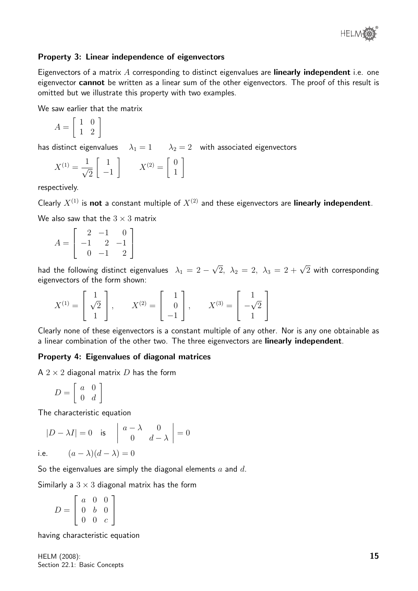

#### Property 3: Linear independence of eigenvectors

Eigenvectors of a matrix  $A$  corresponding to distinct eigenvalues are **linearly independent** i.e. one eigenvector **cannot** be written as a linear sum of the other eigenvectors. The proof of this result is omitted but we illustrate this property with two examples.

We saw earlier that the matrix

$$
A = \left[ \begin{array}{cc} 1 & 0 \\ 1 & 2 \end{array} \right]
$$

has distinct eigenvalues  $\lambda_1 = 1$   $\lambda_2 = 2$  with associated eigenvectors

$$
X^{(1)} = \frac{1}{\sqrt{2}} \begin{bmatrix} 1 \\ -1 \end{bmatrix} \qquad X^{(2)} = \begin{bmatrix} 0 \\ 1 \end{bmatrix}
$$

respectively.

Clearly  $X^{(1)}$  is not a constant multiple of  $X^{(2)}$  and these eigenvectors are linearly independent.

We also saw that the  $3 \times 3$  matrix

$$
A = \begin{bmatrix} 2 & -1 & 0 \\ -1 & 2 & -1 \\ 0 & -1 & 2 \end{bmatrix}
$$

had the following distinct eigenvalues  $\lambda_1 = 2 - 1$  $\sqrt{2}$ ,  $\lambda_2 = 2$ ,  $\lambda_3 = 2 + \sqrt{2}$  with corresponding eigenvectors of the form shown:

$$
X^{(1)} = \begin{bmatrix} 1 \\ \sqrt{2} \\ 1 \end{bmatrix}, \qquad X^{(2)} = \begin{bmatrix} 1 \\ 0 \\ -1 \end{bmatrix}, \qquad X^{(3)} = \begin{bmatrix} 1 \\ -\sqrt{2} \\ 1 \end{bmatrix}
$$

Clearly none of these eigenvectors is a constant multiple of any other. Nor is any one obtainable as a linear combination of the other two. The three eigenvectors are linearly independent.

#### Property 4: Eigenvalues of diagonal matrices

A  $2 \times 2$  diagonal matrix D has the form

$$
D = \left[ \begin{array}{cc} a & 0 \\ 0 & d \end{array} \right]
$$

The characteristic equation

$$
|D - \lambda I| = 0 \quad \text{is} \quad \begin{vmatrix} a - \lambda & 0 \\ 0 & d - \lambda \end{vmatrix} = 0
$$

i.e. 
$$
(a - \lambda)(d - \lambda) = 0
$$

So the eigenvalues are simply the diagonal elements  $a$  and  $d$ .

Similarly a  $3 \times 3$  diagonal matrix has the form

 $D =$  $\sqrt{ }$  $\overline{1}$ a 0 0 0 b 0  $0 \quad 0 \quad c$ 1  $\overline{1}$ 

having characteristic equation

HELM (2008): Section 22.1: Basic Concepts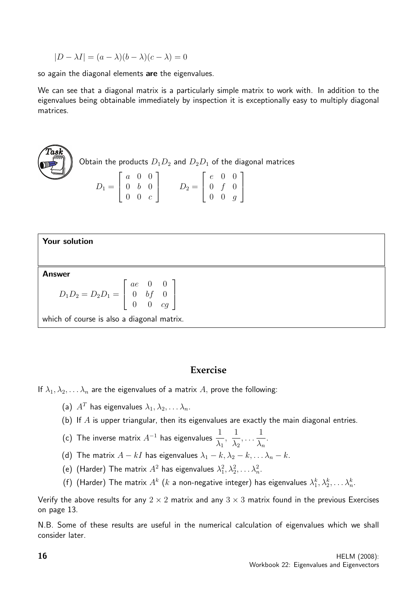$$
|D - \lambda I| = (a - \lambda)(b - \lambda)(c - \lambda) = 0
$$

so again the diagonal elements are the eigenvalues.

We can see that a diagonal matrix is a particularly simple matrix to work with. In addition to the eigenvalues being obtainable immediately by inspection it is exceptionally easy to multiply diagonal matrices.

$$
D_1 = \begin{bmatrix} a & 0 & 0 \\ 0 & b & 0 \\ 0 & 0 & c \end{bmatrix} \quad D_2 \text{ and } D_2D_1 \text{ of the diagonal matrices}
$$

| <b>Your solution</b>                                                                                   |  |  |  |  |  |
|--------------------------------------------------------------------------------------------------------|--|--|--|--|--|
|                                                                                                        |  |  |  |  |  |
| <b>Answer</b>                                                                                          |  |  |  |  |  |
| $D_1D_2 = D_2D_1 = \left[ \begin{array}{ccc} ae & 0 & 0 \ 0 & bf & 0 \ 0 & 0 & cg \end{array} \right]$ |  |  |  |  |  |
| which of course is also a diagonal matrix.                                                             |  |  |  |  |  |

#### **Exercise**

If  $\lambda_1, \lambda_2, \ldots, \lambda_n$  are the eigenvalues of a matrix A, prove the following:

- (a)  $A^T$  has eigenvalues  $\lambda_1, \lambda_2, \ldots, \lambda_n$ .
- (b) If  $A$  is upper triangular, then its eigenvalues are exactly the main diagonal entries.
- (c) The inverse matrix  $A^{-1}$  has eigenvalues  $\frac{1}{1}$  $\lambda_1$ , 1  $\lambda_2$ , . . . 1  $\lambda_n$ .
- (d) The matrix  $A kI$  has eigenvalues  $\lambda_1 k, \lambda_2 k, \ldots \lambda_n k$ .
- (e) (Harder) The matrix  $A^2$  has eigenvalues  $\lambda_1^2, \lambda_2^2, \ldots \lambda_n^2$ .
- (f) (Harder) The matrix  $A^k$   $(k$  a non-negative integer) has eigenvalues  $\lambda_1^k, \lambda_2^k, \ldots \lambda_n^k.$

Verify the above results for any  $2 \times 2$  matrix and any  $3 \times 3$  matrix found in the previous Exercises on page 13.

N.B. Some of these results are useful in the numerical calculation of eigenvalues which we shall consider later.